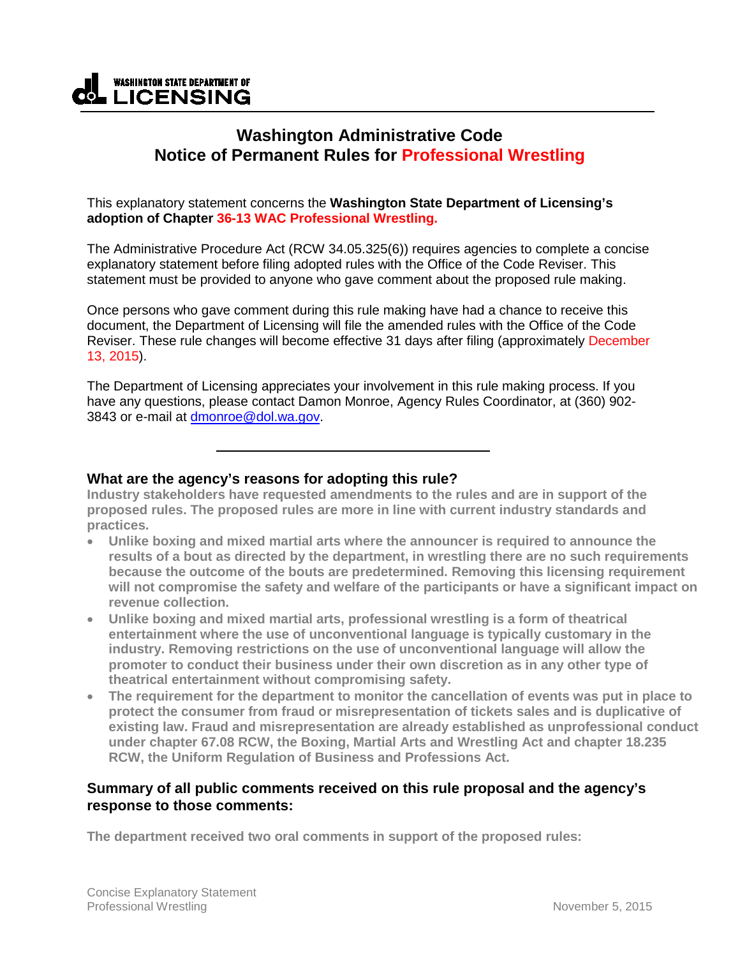# **WASHINGTON STATE DEPARTMENT OF CL LICENSING**

## **Washington Administrative Code Notice of Permanent Rules for Professional Wrestling**

This explanatory statement concerns the **Washington State Department of Licensing's adoption of Chapter 36-13 WAC Professional Wrestling.**

The Administrative Procedure Act (RCW 34.05.325(6)) requires agencies to complete a concise explanatory statement before filing adopted rules with the Office of the Code Reviser. This statement must be provided to anyone who gave comment about the proposed rule making.

Once persons who gave comment during this rule making have had a chance to receive this document, the Department of Licensing will file the amended rules with the Office of the Code Reviser. These rule changes will become effective 31 days after filing (approximately December 13, 2015).

The Department of Licensing appreciates your involvement in this rule making process. If you have any questions, please contact Damon Monroe, Agency Rules Coordinator, at (360) 902- 3843 or e-mail at [dmonroe@dol.wa.gov.](mailto:dmonroe@dol.wa.gov)

### **What are the agency's reasons for adopting this rule?**

**Industry stakeholders have requested amendments to the rules and are in support of the proposed rules. The proposed rules are more in line with current industry standards and practices.** 

- **Unlike boxing and mixed martial arts where the announcer is required to announce the results of a bout as directed by the department, in wrestling there are no such requirements because the outcome of the bouts are predetermined. Removing this licensing requirement will not compromise the safety and welfare of the participants or have a significant impact on revenue collection.**
- **Unlike boxing and mixed martial arts, professional wrestling is a form of theatrical entertainment where the use of unconventional language is typically customary in the industry. Removing restrictions on the use of unconventional language will allow the promoter to conduct their business under their own discretion as in any other type of theatrical entertainment without compromising safety.**
- **The requirement for the department to monitor the cancellation of events was put in place to protect the consumer from fraud or misrepresentation of tickets sales and is duplicative of existing law. Fraud and misrepresentation are already established as unprofessional conduct under chapter 67.08 RCW, the Boxing, Martial Arts and Wrestling Act and chapter 18.235 RCW, the Uniform Regulation of Business and Professions Act.**

### **Summary of all public comments received on this rule proposal and the agency's response to those comments:**

**The department received two oral comments in support of the proposed rules:**